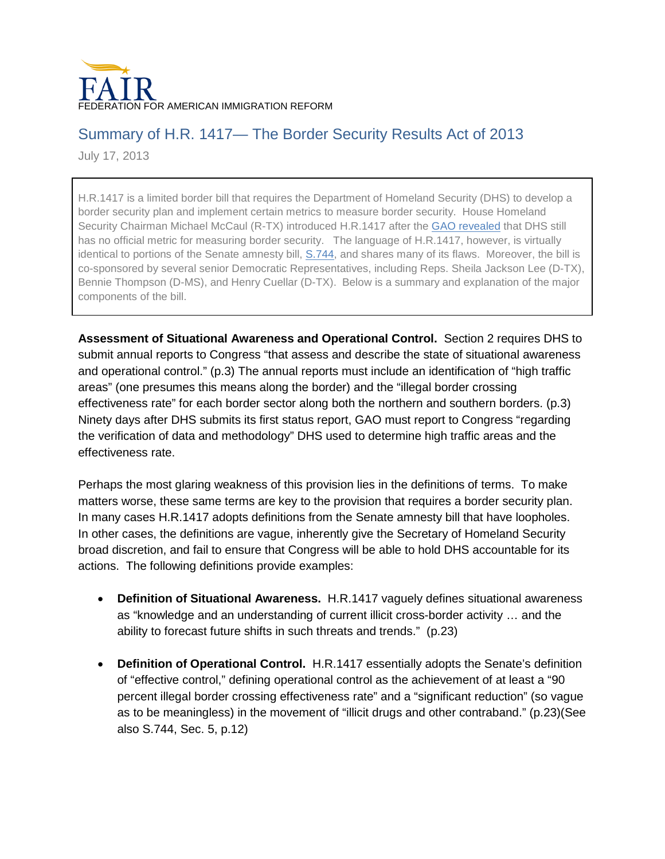

## Summary of H.R. 1417— The Border Security Results Act of 2013

July 17, 2013

H.R.1417 is a limited border bill that requires the Department of Homeland Security (DHS) to develop a border security plan and implement certain metrics to measure border security. House Homeland Security Chairman Michael McCaul (R-TX) introduced H.R.1417 after the [GAO revealed](http://www.fairus.org/legislative-updates/fair-legislative-update-march-4-2013#8) that DHS still has no official metric for measuring border security. The language of H.R.1417, however, is virtually identical to portions of the Senate amnesty bill, [S.744,](http://www.gpo.gov/fdsys/pkg/BILLS-113s744es/pdf/BILLS-113s744es.pdf) and shares many of its flaws. Moreover, the bill is co-sponsored by several senior Democratic Representatives, including Reps. Sheila Jackson Lee (D-TX), Bennie Thompson (D-MS), and Henry Cuellar (D-TX). Below is a summary and explanation of the major components of the bill.

**Assessment of Situational Awareness and Operational Control.** Section 2 requires DHS to submit annual reports to Congress "that assess and describe the state of situational awareness and operational control." (p.3) The annual reports must include an identification of "high traffic areas" (one presumes this means along the border) and the "illegal border crossing effectiveness rate" for each border sector along both the northern and southern borders. (p.3) Ninety days after DHS submits its first status report, GAO must report to Congress "regarding the verification of data and methodology" DHS used to determine high traffic areas and the effectiveness rate.

Perhaps the most glaring weakness of this provision lies in the definitions of terms. To make matters worse, these same terms are key to the provision that requires a border security plan. In many cases H.R.1417 adopts definitions from the Senate amnesty bill that have loopholes. In other cases, the definitions are vague, inherently give the Secretary of Homeland Security broad discretion, and fail to ensure that Congress will be able to hold DHS accountable for its actions. The following definitions provide examples:

- **Definition of Situational Awareness.** H.R.1417 vaguely defines situational awareness as "knowledge and an understanding of current illicit cross-border activity … and the ability to forecast future shifts in such threats and trends." (p.23)
- **Definition of Operational Control.** H.R.1417 essentially adopts the Senate's definition of "effective control," defining operational control as the achievement of at least a "90 percent illegal border crossing effectiveness rate" and a "significant reduction" (so vague as to be meaningless) in the movement of "illicit drugs and other contraband." (p.23)(See also S.744, Sec. 5, p.12)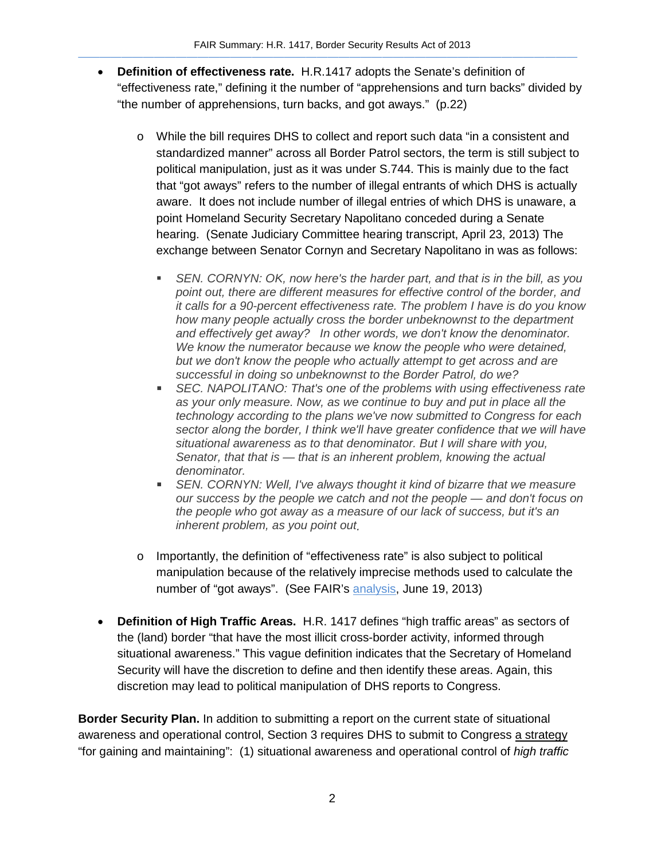- **Definition of effectiveness rate.** H.R.1417 adopts the Senate's definition of "effectiveness rate," defining it the number of "apprehensions and turn backs" divided by "the number of apprehensions, turn backs, and got aways." (p.22)
	- o While the bill requires DHS to collect and report such data "in a consistent and standardized manner" across all Border Patrol sectors, the term is still subject to political manipulation, just as it was under S.744. This is mainly due to the fact that "got aways" refers to the number of illegal entrants of which DHS is actually aware. It does not include number of illegal entries of which DHS is unaware, a point Homeland Security Secretary Napolitano conceded during a Senate hearing. (Senate Judiciary Committee hearing transcript, April 23, 2013) The exchange between Senator Cornyn and Secretary Napolitano in was as follows:
		- *SEN. CORNYN: OK, now here's the harder part, and that is in the bill, as you point out, there are different measures for effective control of the border, and it calls for a 90-percent effectiveness rate. The problem I have is do you know how many people actually cross the border unbeknownst to the department and effectively get away? In other words, we don't know the denominator. We know the numerator because we know the people who were detained, but we don't know the people who actually attempt to get across and are successful in doing so unbeknownst to the Border Patrol, do we?*
		- *SEC. NAPOLITANO: That's one of the problems with using effectiveness rate as your only measure. Now, as we continue to buy and put in place all the technology according to the plans we've now submitted to Congress for each sector along the border, I think we'll have greater confidence that we will have situational awareness as to that denominator. But I will share with you, Senator, that that is — that is an inherent problem, knowing the actual denominator.*
		- **SEN. CORNYN: Well, I've always thought it kind of bizarre that we measure** *our success by the people we catch and not the people — and don't focus on the people who got away as a measure of our lack of success, but it's an inherent problem, as you point out.*
	- $\circ$  Importantly, the definition of "effectiveness rate" is also subject to political manipulation because of the relatively imprecise methods used to calculate the number of "got aways". (See FAIR's [analysis,](http://immigrationreform.com/2013/06/19/data-shows-border-security-metric-in-s-744-subject-to-political-manipulation/) June 19, 2013)
- **Definition of High Traffic Areas.** H.R. 1417 defines "high traffic areas" as sectors of the (land) border "that have the most illicit cross-border activity, informed through situational awareness." This vague definition indicates that the Secretary of Homeland Security will have the discretion to define and then identify these areas. Again, this discretion may lead to political manipulation of DHS reports to Congress.

**Border Security Plan.** In addition to submitting a report on the current state of situational awareness and operational control, Section 3 requires DHS to submit to Congress a strategy "for gaining and maintaining": (1) situational awareness and operational control of *high traffic*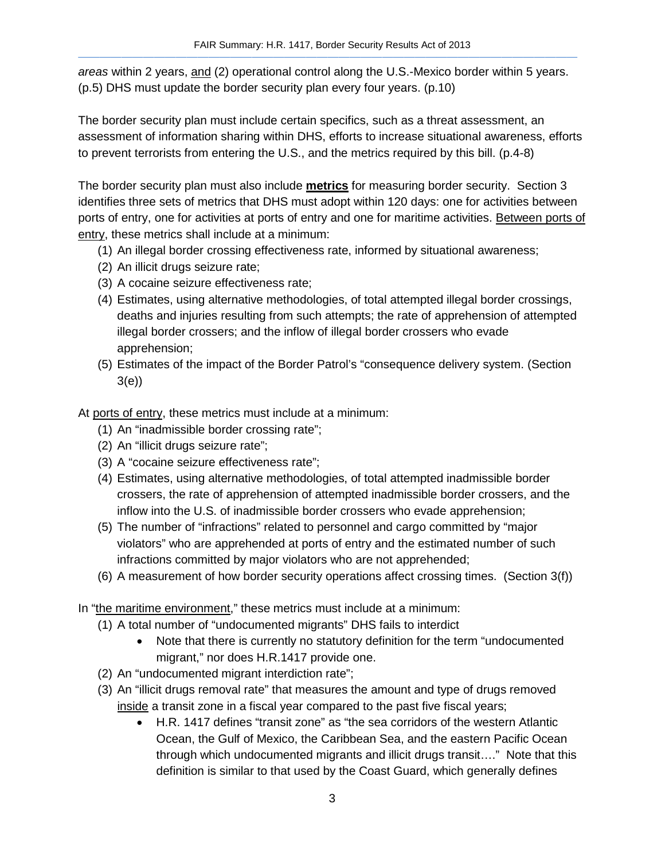*areas* within 2 years, and (2) operational control along the U.S.-Mexico border within 5 years. (p.5) DHS must update the border security plan every four years. (p.10)

The border security plan must include certain specifics, such as a threat assessment, an assessment of information sharing within DHS, efforts to increase situational awareness, efforts to prevent terrorists from entering the U.S., and the metrics required by this bill. (p.4-8)

The border security plan must also include **metrics** for measuring border security. Section 3 identifies three sets of metrics that DHS must adopt within 120 days: one for activities between ports of entry, one for activities at ports of entry and one for maritime activities. Between ports of entry, these metrics shall include at a minimum:

- (1) An illegal border crossing effectiveness rate, informed by situational awareness;
- (2) An illicit drugs seizure rate;
- (3) A cocaine seizure effectiveness rate;
- (4) Estimates, using alternative methodologies, of total attempted illegal border crossings, deaths and injuries resulting from such attempts; the rate of apprehension of attempted illegal border crossers; and the inflow of illegal border crossers who evade apprehension;
- (5) Estimates of the impact of the Border Patrol's "consequence delivery system. (Section 3(e))

At ports of entry, these metrics must include at a minimum:

- (1) An "inadmissible border crossing rate";
- (2) An "illicit drugs seizure rate";
- (3) A "cocaine seizure effectiveness rate";
- (4) Estimates, using alternative methodologies, of total attempted inadmissible border crossers, the rate of apprehension of attempted inadmissible border crossers, and the inflow into the U.S. of inadmissible border crossers who evade apprehension;
- (5) The number of "infractions" related to personnel and cargo committed by "major violators" who are apprehended at ports of entry and the estimated number of such infractions committed by major violators who are not apprehended;
- (6) A measurement of how border security operations affect crossing times. (Section 3(f))

In "the maritime environment," these metrics must include at a minimum:

- (1) A total number of "undocumented migrants" DHS fails to interdict
	- Note that there is currently no statutory definition for the term "undocumented migrant," nor does H.R.1417 provide one.
- (2) An "undocumented migrant interdiction rate";
- (3) An "illicit drugs removal rate" that measures the amount and type of drugs removed inside a transit zone in a fiscal year compared to the past five fiscal years;
	- H.R. 1417 defines "transit zone" as "the sea corridors of the western Atlantic Ocean, the Gulf of Mexico, the Caribbean Sea, and the eastern Pacific Ocean through which undocumented migrants and illicit drugs transit…." Note that this definition is similar to that used by the Coast Guard, which generally defines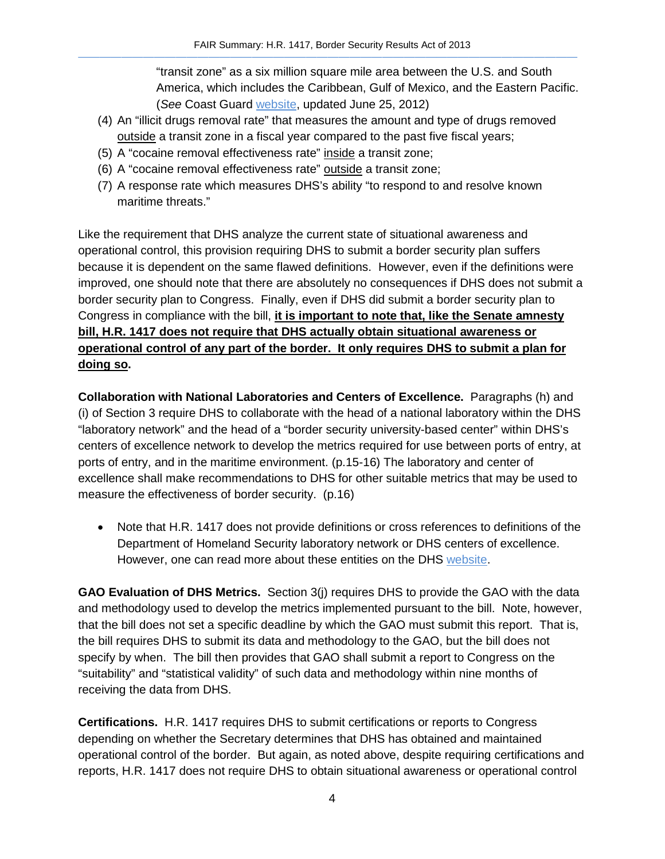"transit zone" as a six million square mile area between the U.S. and South America, which includes the Caribbean, Gulf of Mexico, and the Eastern Pacific. (*See* Coast Guard [website,](http://www.uscg.mil/hq/cg5/cg531/drug_interdiction.asp) updated June 25, 2012)

- (4) An "illicit drugs removal rate" that measures the amount and type of drugs removed outside a transit zone in a fiscal year compared to the past five fiscal years;
- (5) A "cocaine removal effectiveness rate" inside a transit zone;
- (6) A "cocaine removal effectiveness rate" outside a transit zone;
- (7) A response rate which measures DHS's ability "to respond to and resolve known maritime threats."

Like the requirement that DHS analyze the current state of situational awareness and operational control, this provision requiring DHS to submit a border security plan suffers because it is dependent on the same flawed definitions. However, even if the definitions were improved, one should note that there are absolutely no consequences if DHS does not submit a border security plan to Congress. Finally, even if DHS did submit a border security plan to Congress in compliance with the bill, **it is important to note that, like the Senate amnesty bill, H.R. 1417 does not require that DHS actually obtain situational awareness or operational control of any part of the border. It only requires DHS to submit a plan for doing so.** 

**Collaboration with National Laboratories and Centers of Excellence.** Paragraphs (h) and (i) of Section 3 require DHS to collaborate with the head of a national laboratory within the DHS "laboratory network" and the head of a "border security university-based center" within DHS's centers of excellence network to develop the metrics required for use between ports of entry, at ports of entry, and in the maritime environment. (p.15-16) The laboratory and center of excellence shall make recommendations to DHS for other suitable metrics that may be used to measure the effectiveness of border security. (p.16)

• Note that H.R. 1417 does not provide definitions or cross references to definitions of the Department of Homeland Security laboratory network or DHS centers of excellence. However, one can read more about these entities on the DHS [website.](http://www.dhs.gov/national-federal-laboratories-research-centers)

**GAO Evaluation of DHS Metrics.** Section 3(j) requires DHS to provide the GAO with the data and methodology used to develop the metrics implemented pursuant to the bill. Note, however, that the bill does not set a specific deadline by which the GAO must submit this report. That is, the bill requires DHS to submit its data and methodology to the GAO, but the bill does not specify by when. The bill then provides that GAO shall submit a report to Congress on the "suitability" and "statistical validity" of such data and methodology within nine months of receiving the data from DHS.

**Certifications.** H.R. 1417 requires DHS to submit certifications or reports to Congress depending on whether the Secretary determines that DHS has obtained and maintained operational control of the border. But again, as noted above, despite requiring certifications and reports, H.R. 1417 does not require DHS to obtain situational awareness or operational control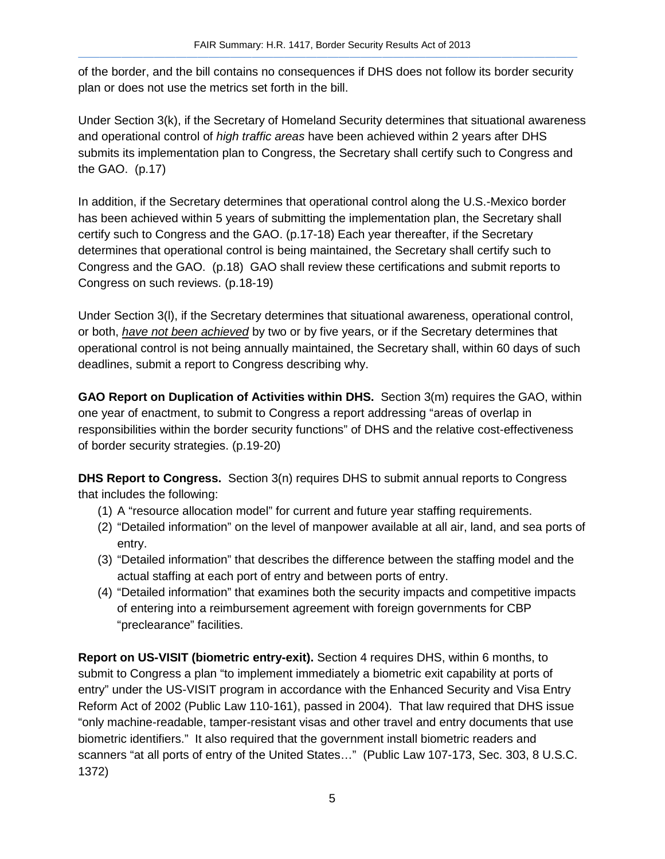of the border, and the bill contains no consequences if DHS does not follow its border security plan or does not use the metrics set forth in the bill.

Under Section 3(k), if the Secretary of Homeland Security determines that situational awareness and operational control of *high traffic areas* have been achieved within 2 years after DHS submits its implementation plan to Congress, the Secretary shall certify such to Congress and the GAO. (p.17)

In addition, if the Secretary determines that operational control along the U.S.-Mexico border has been achieved within 5 years of submitting the implementation plan, the Secretary shall certify such to Congress and the GAO. (p.17-18) Each year thereafter, if the Secretary determines that operational control is being maintained, the Secretary shall certify such to Congress and the GAO. (p.18) GAO shall review these certifications and submit reports to Congress on such reviews. (p.18-19)

Under Section 3(l), if the Secretary determines that situational awareness, operational control, or both, *have not been achieved* by two or by five years, or if the Secretary determines that operational control is not being annually maintained, the Secretary shall, within 60 days of such deadlines, submit a report to Congress describing why.

**GAO Report on Duplication of Activities within DHS.** Section 3(m) requires the GAO, within one year of enactment, to submit to Congress a report addressing "areas of overlap in responsibilities within the border security functions" of DHS and the relative cost-effectiveness of border security strategies. (p.19-20)

**DHS Report to Congress.** Section 3(n) requires DHS to submit annual reports to Congress that includes the following:

- (1) A "resource allocation model" for current and future year staffing requirements.
- (2) "Detailed information" on the level of manpower available at all air, land, and sea ports of entry.
- (3) "Detailed information" that describes the difference between the staffing model and the actual staffing at each port of entry and between ports of entry.
- (4) "Detailed information" that examines both the security impacts and competitive impacts of entering into a reimbursement agreement with foreign governments for CBP "preclearance" facilities.

**Report on US-VISIT (biometric entry-exit).** Section 4 requires DHS, within 6 months, to submit to Congress a plan "to implement immediately a biometric exit capability at ports of entry" under the US-VISIT program in accordance with the Enhanced Security and Visa Entry Reform Act of 2002 (Public Law 110-161), passed in 2004). That law required that DHS issue "only machine-readable, tamper-resistant visas and other travel and entry documents that use biometric identifiers." It also required that the government install biometric readers and scanners "at all ports of entry of the United States…" (Public Law 107-173, Sec. 303, 8 U.S.C. 1372)